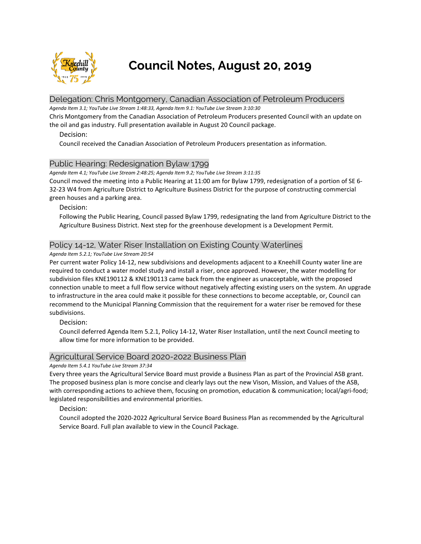

**Council Notes, August 20, 2019**

# Delegation: Chris Montgomery, Canadian Association of Petroleum Producers

*Agenda Item 3.1; YouTube Live Stream 1:48:33, Agenda Item 9.1: YouTube Live Stream 3:10:30*

Chris Montgomery from the Canadian Association of Petroleum Producers presented Council with an update on the oil and gas industry. Full presentation available in August 20 Council package.

## Decision:

Council received the Canadian Association of Petroleum Producers presentation as information.

# Public Hearing: Redesignation Bylaw 1799

*Agenda Item 4.1; YouTube Live Stream 2:48:25; Agenda Item 9.2; YouTube Live Stream 3:11:35*

Council moved the meeting into a Public Hearing at 11:00 am for Bylaw 1799, redesignation of a portion of SE 6- 32-23 W4 from Agriculture District to Agriculture Business District for the purpose of constructing commercial green houses and a parking area.

### Decision:

Following the Public Hearing, Council passed Bylaw 1799, redesignating the land from Agriculture District to the Agriculture Business District. Next step for the greenhouse development is a Development Permit.

# Policy 14-12, Water Riser Installation on Existing County Waterlines

### *Agenda Item 5.2.1; YouTube Live Stream 20:54*

Per current water Policy 14-12, new subdivisions and developments adjacent to a Kneehill County water line are required to conduct a water model study and install a riser, once approved. However, the water modelling for subdivision files KNE190112 & KNE190113 came back from the engineer as unacceptable, with the proposed connection unable to meet a full flow service without negatively affecting existing users on the system. An upgrade to infrastructure in the area could make it possible for these connections to become acceptable, or, Council can recommend to the Municipal Planning Commission that the requirement for a water riser be removed for these subdivisions.

### Decision:

Council deferred Agenda Item 5.2.1, Policy 14-12, Water Riser Installation, until the next Council meeting to allow time for more information to be provided.

# Agricultural Service Board 2020-2022 Business Plan

### *Agenda Item 5.4.1 YouTube Live Stream 37:34*

Every three years the Agricultural Service Board must provide a Business Plan as part of the Provincial ASB grant. The proposed business plan is more concise and clearly lays out the new Vison, Mission, and Values of the ASB, with corresponding actions to achieve them, focusing on promotion, education & communication; local/agri-food; legislated responsibilities and environmental priorities.

### Decision:

Council adopted the 2020-2022 Agricultural Service Board Business Plan as recommended by the Agricultural Service Board. Full plan available to view in the Council Package.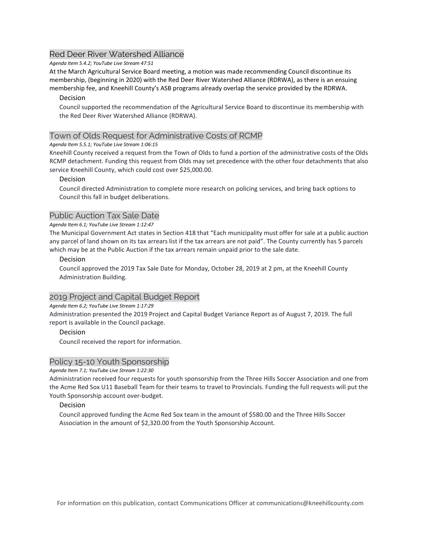# Red Deer River Watershed Alliance

*Agenda Item 5.4.2; YouTube Live Stream 47:51*

At the March Agricultural Service Board meeting, a motion was made recommending Council discontinue its membership, (beginning in 2020) with the Red Deer River Watershed Alliance (RDRWA), as there is an ensuing membership fee, and Kneehill County's ASB programs already overlap the service provided by the RDRWA.

## Decision

Council supported the recommendation of the Agricultural Service Board to discontinue its membership with the Red Deer River Watershed Alliance (RDRWA).

## Town of Olds Request for Administrative Costs of RCMP

### *Agenda Item 5.5.1; YouTube Live Stream 1:06:15*

Kneehill County received a request from the Town of Olds to fund a portion of the administrative costs of the Olds RCMP detachment. Funding this request from Olds may set precedence with the other four detachments that also service Kneehill County, which could cost over \$25,000.00.

### Decision

Council directed Administration to complete more research on policing services, and bring back options to Council this fall in budget deliberations.

## Public Auction Tax Sale Date

#### *Agenda Item 6.1; YouTube Live Stream 1:12:47*

The Municipal Government Act states in Section 418 that "Each municipality must offer for sale at a public auction any parcel of land shown on its tax arrears list if the tax arrears are not paid". The County currently has 5 parcels which may be at the Public Auction if the tax arrears remain unpaid prior to the sale date.

### Decision

Council approved the 2019 Tax Sale Date for Monday, October 28, 2019 at 2 pm, at the Kneehill County Administration Building.

# 2019 Project and Capital Budget Report

### *Agenda Item 6.2; YouTube Live Stream 1:17:29*

Administration presented the 2019 Project and Capital Budget Variance Report as of August 7, 2019. The full report is available in the Council package.

### Decision

Council received the report for information.

### Policy 15-10 Youth Sponsorship

*Agenda Item 7.1; YouTube Live Stream 1:22:30*

Administration received four requests for youth sponsorship from the Three Hills Soccer Association and one from the Acme Red Sox U11 Baseball Team for their teams to travel to Provincials. Funding the full requests will put the Youth Sponsorship account over-budget.

### Decision

Council approved funding the Acme Red Sox team in the amount of \$580.00 and the Three Hills Soccer Association in the amount of \$2,320.00 from the Youth Sponsorship Account.